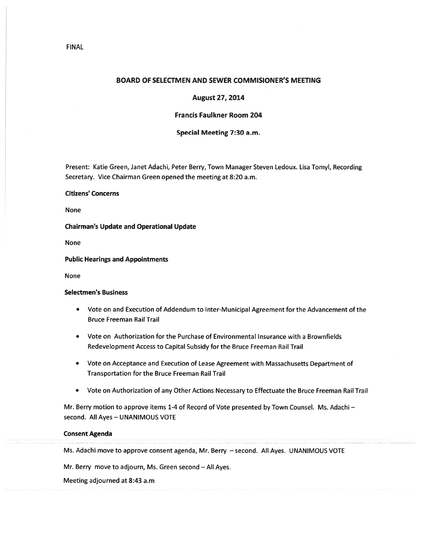## BOARD OF SELECTMEN AND SEWER COMMISIONER'S MEETING

## August 27, 2014

## Francis Faulkner Room 204

## Special Meeting 7:30 a.m.

Present: Katie Green, Janet Adachi, Peter Berry, Town Manager Steven Ledoux. Lisa Tomyl, Recording Secretary. Vice Chairman Green opened the meeting at 8:20 a.m.

# Citizens' Concerns

None

Chairman's Update and Operational Update

None

### Public Hearings and Appointments

None

### Selectmen's Business

- Vote on and Execution of Addendum to Inter-Municipal Agreement for the Advancement of the Bruce Freeman Rail Trail
- Vote on Authorization for the Purchase of Environmental Insurance with <sup>a</sup> Brownfields Redevelopment Access to Capital Subsidy for the Bruce Freeman Rail Trail
- Vote on Acceptance and Execution of Lease Agreement with Massachusetts Department of Transportation for the Bruce Freeman Rail Trail
- •Vote on Authorization of any Other Actions Necessary to Effectuate the Bruce Freeman Rail Trail

Mr. Berry motion to approve items 1-4 of Record of Vote presented by Town Counsel. Ms. Adachi second. All Ayes — UNANIMOUS VOTE

#### Consent Agenda

Ms. Adachi move to approve consent agenda, Mr. Berry — second. All Ayes. UNANIMOUS VOTE

Mr. Berry move to adjourn, Ms. Green second — All Ayes.

Meeting adjourned at 8:43 a.m